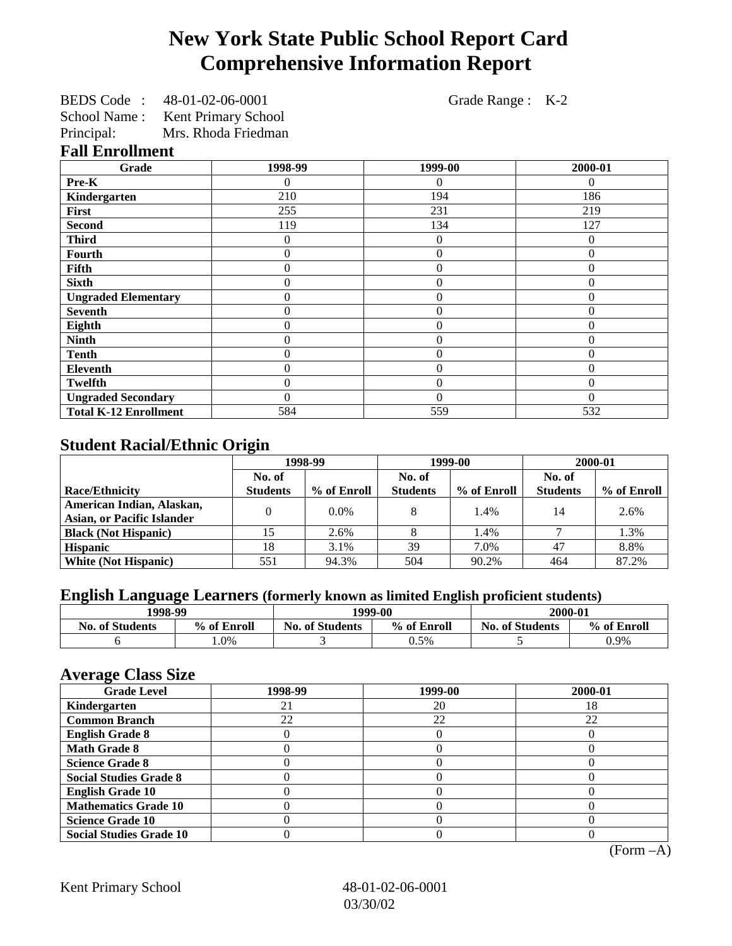# **New York State Public School Report Card Comprehensive Information Report**

| BEDS Code :  | 48-01-02-06-0001           |
|--------------|----------------------------|
| School Name: | <b>Kent Primary School</b> |
| Principal:   | Mrs. Rhoda Friedman        |

Grade Range : K-2

#### **Fall Enrollment**

| Grade                        | 1998-99 | 1999-00        | 2000-01  |
|------------------------------|---------|----------------|----------|
| Pre-K                        | 0       | $\Omega$       | $\Omega$ |
| Kindergarten                 | 210     | 194            | 186      |
| First                        | 255     | 231            | 219      |
| <b>Second</b>                | 119     | 134            | 127      |
| <b>Third</b>                 | 0       | $\overline{0}$ | 0        |
| Fourth                       | 0       | $\overline{0}$ | $\theta$ |
| Fifth                        | 0       | $\theta$       | $\theta$ |
| <b>Sixth</b>                 | 0       | $\Omega$       | $\theta$ |
| <b>Ungraded Elementary</b>   | 0       | $\overline{0}$ | $\theta$ |
| <b>Seventh</b>               | 0       | $\overline{0}$ | $\theta$ |
| Eighth                       | 0       | $\theta$       | $\Omega$ |
| <b>Ninth</b>                 | 0       | $\theta$       | $\Omega$ |
| <b>Tenth</b>                 | 0       | $\overline{0}$ | $\theta$ |
| <b>Eleventh</b>              | 0       | $\theta$       | $\Omega$ |
| <b>Twelfth</b>               | 0       | $\theta$       | $\Omega$ |
| <b>Ungraded Secondary</b>    | 0       | $\Omega$       | $\Omega$ |
| <b>Total K-12 Enrollment</b> | 584     | 559            | 532      |

#### **Student Racial/Ethnic Origin**

|                                   | 1998-99         |             | 1999-00         |             | 2000-01         |             |
|-----------------------------------|-----------------|-------------|-----------------|-------------|-----------------|-------------|
|                                   | No. of          |             | No. of          |             | No. of          |             |
| <b>Race/Ethnicity</b>             | <b>Students</b> | % of Enroll | <b>Students</b> | % of Enroll | <b>Students</b> | % of Enroll |
| American Indian, Alaskan,         |                 | $0.0\%$     |                 | 1.4%        | 14              | 2.6%        |
| <b>Asian, or Pacific Islander</b> |                 |             |                 |             |                 |             |
| <b>Black (Not Hispanic)</b>       |                 | 2.6%        |                 | 1.4%        |                 | 1.3%        |
| <b>Hispanic</b>                   | 18              | 3.1%        | 39              | 7.0%        | 47              | 8.8%        |
| <b>White (Not Hispanic)</b>       | 551             | 94.3%       | 504             | 90.2%       | 464             | 87.2%       |

## **English Language Learners (formerly known as limited English proficient students)**

| 1998-99                |             | 1999-00                               |      | 2000-01                |             |
|------------------------|-------------|---------------------------------------|------|------------------------|-------------|
| <b>No. of Students</b> | % of Enroll | <b>No. of Students</b><br>% of Enroll |      | <b>No. of Students</b> | % of Enroll |
|                        | $.0\%$      |                                       | 0.5% |                        | 0.9%        |

#### **Average Class Size**

| $\overline{\phantom{a}}$<br><b>Grade Level</b> | 1998-99 | 1999-00 | 2000-01 |
|------------------------------------------------|---------|---------|---------|
| Kindergarten                                   |         | 20      | 18.     |
| <b>Common Branch</b>                           | 22      | 22      | 22      |
| <b>English Grade 8</b>                         |         |         |         |
| <b>Math Grade 8</b>                            |         |         |         |
| <b>Science Grade 8</b>                         |         |         |         |
| <b>Social Studies Grade 8</b>                  |         |         |         |
| <b>English Grade 10</b>                        |         |         |         |
| <b>Mathematics Grade 10</b>                    |         |         |         |
| <b>Science Grade 10</b>                        |         |         |         |
| <b>Social Studies Grade 10</b>                 |         |         |         |

(Form –A)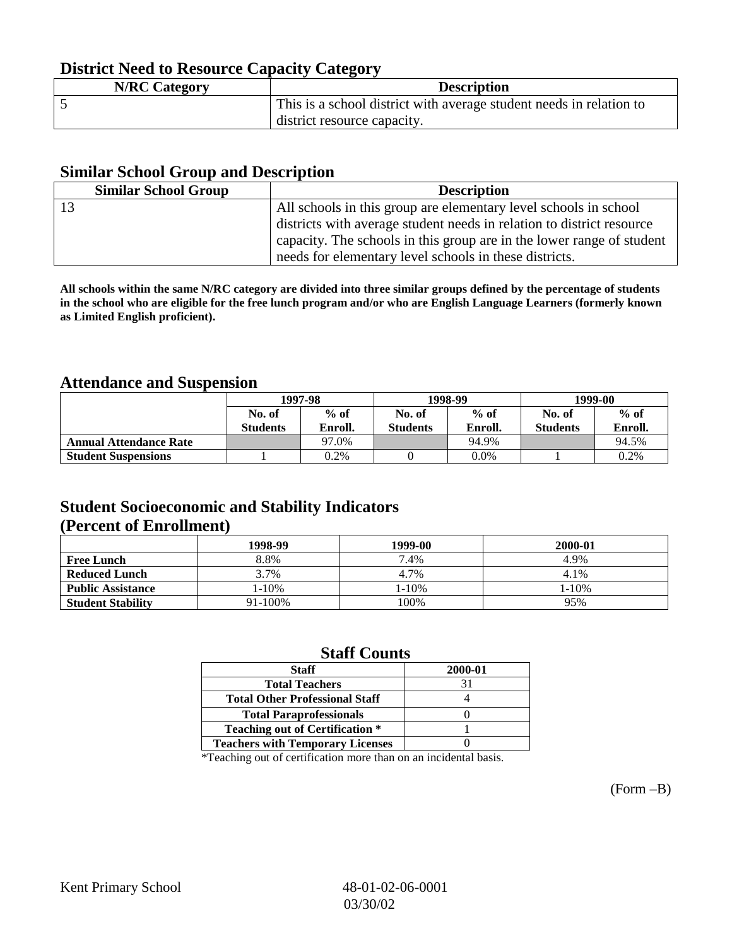### **District Need to Resource Capacity Category**

| <b>N/RC Category</b> | <b>Description</b>                                                  |
|----------------------|---------------------------------------------------------------------|
|                      | This is a school district with average student needs in relation to |
|                      | district resource capacity.                                         |

#### **Similar School Group and Description**

| <b>Similar School Group</b> | <b>Description</b>                                                    |
|-----------------------------|-----------------------------------------------------------------------|
|                             | All schools in this group are elementary level schools in school      |
|                             | districts with average student needs in relation to district resource |
|                             | capacity. The schools in this group are in the lower range of student |
|                             | needs for elementary level schools in these districts.                |

**All schools within the same N/RC category are divided into three similar groups defined by the percentage of students in the school who are eligible for the free lunch program and/or who are English Language Learners (formerly known as Limited English proficient).**

#### **Attendance and Suspension**

|                               | 1997-98         |         |                 | 1998-99 | 1999-00         |         |
|-------------------------------|-----------------|---------|-----------------|---------|-----------------|---------|
|                               | No. of          | $%$ of  | No. of          | $%$ of  | No. of          | $%$ of  |
|                               | <b>Students</b> | Enroll. | <b>Students</b> | Enroll. | <b>Students</b> | Enroll. |
| <b>Annual Attendance Rate</b> |                 | 97.0%   |                 | 94.9%   |                 | 94.5%   |
| <b>Student Suspensions</b>    |                 | 0.2%    |                 | $0.0\%$ |                 | 0.2%    |

#### **Student Socioeconomic and Stability Indicators (Percent of Enrollment)**

|                          | 1998-99    | 1999-00 | 2000-01 |
|--------------------------|------------|---------|---------|
| <b>Free Lunch</b>        | 8.8%       | 7.4%    | 4.9%    |
| <b>Reduced Lunch</b>     | 3.7%       | 4.7%    | 4.1%    |
| <b>Public Assistance</b> | $1 - 10\%$ | 1-10%   | 1-10%   |
| <b>Student Stability</b> | 91-100%    | 100%    | 95%     |

#### **Staff Counts**

| <b>Staff</b>                            | 2000-01 |
|-----------------------------------------|---------|
| <b>Total Teachers</b>                   | 31      |
| <b>Total Other Professional Staff</b>   |         |
| <b>Total Paraprofessionals</b>          |         |
| <b>Teaching out of Certification *</b>  |         |
| <b>Teachers with Temporary Licenses</b> |         |
|                                         |         |

\*Teaching out of certification more than on an incidental basis.

(Form –B)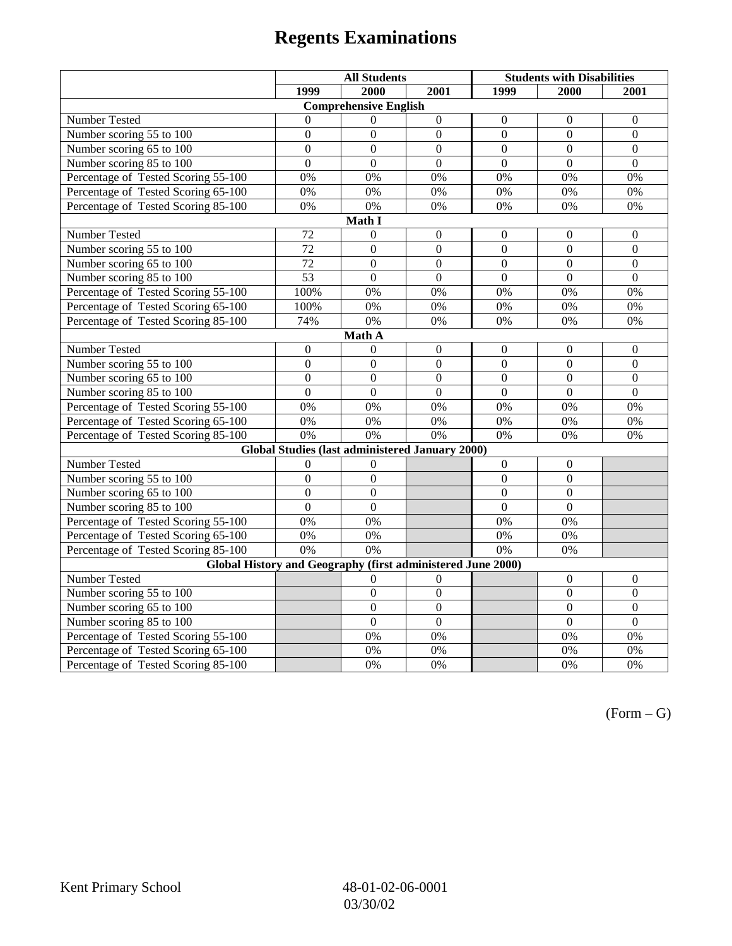# **Regents Examinations**

|                                                             | <b>All Students</b> |                                                 |                  | <b>Students with Disabilities</b> |                  |                  |  |
|-------------------------------------------------------------|---------------------|-------------------------------------------------|------------------|-----------------------------------|------------------|------------------|--|
|                                                             | 1999                | 2000                                            | 2001             | 1999                              | 2000             | 2001             |  |
|                                                             |                     | <b>Comprehensive English</b>                    |                  |                                   |                  |                  |  |
| Number Tested                                               | $\theta$            | $\Omega$                                        | $\boldsymbol{0}$ | $\boldsymbol{0}$                  | $\boldsymbol{0}$ | $\boldsymbol{0}$ |  |
| Number scoring 55 to 100                                    | $\boldsymbol{0}$    | $\boldsymbol{0}$                                | $\boldsymbol{0}$ | $\mathbf{0}$                      | $\mathbf{0}$     | $\mathbf{0}$     |  |
| Number scoring 65 to 100                                    | $\overline{0}$      | $\overline{0}$                                  | $\overline{0}$   | $\overline{0}$                    | $\overline{0}$   | $\mathbf{0}$     |  |
| Number scoring 85 to 100                                    | $\overline{0}$      | $\overline{0}$                                  | $\overline{0}$   | $\overline{0}$                    | $\overline{0}$   | $\Omega$         |  |
| Percentage of Tested Scoring 55-100                         | 0%                  | 0%                                              | 0%               | 0%                                | 0%               | 0%               |  |
| Percentage of Tested Scoring 65-100                         | 0%                  | 0%                                              | 0%               | 0%                                | 0%               | 0%               |  |
| Percentage of Tested Scoring 85-100                         | 0%                  | 0%                                              | 0%               | 0%                                | 0%               | 0%               |  |
|                                                             |                     | Math I                                          |                  |                                   |                  |                  |  |
| <b>Number Tested</b>                                        | 72                  | $\boldsymbol{0}$                                | $\boldsymbol{0}$ | $\boldsymbol{0}$                  | $\boldsymbol{0}$ | $\boldsymbol{0}$ |  |
| Number scoring 55 to 100                                    | $\overline{72}$     | $\overline{0}$                                  | $\overline{0}$   | $\overline{0}$                    | $\mathbf{0}$     | $\mathbf{0}$     |  |
| Number scoring 65 to 100                                    | 72                  | $\mathbf{0}$                                    | $\mathbf{0}$     | $\overline{0}$                    | $\boldsymbol{0}$ | $\mathbf{0}$     |  |
| Number scoring 85 to 100                                    | 53                  | $\overline{0}$                                  | $\overline{0}$   | $\overline{0}$                    | $\overline{0}$   | $\overline{0}$   |  |
| Percentage of Tested Scoring 55-100                         | 100%                | 0%                                              | 0%               | $0\%$                             | 0%               | 0%               |  |
| Percentage of Tested Scoring 65-100                         | 100%                | 0%                                              | 0%               | 0%                                | 0%               | 0%               |  |
| Percentage of Tested Scoring 85-100                         | 74%                 | 0%                                              | 0%               | $0\%$                             | 0%               | 0%               |  |
|                                                             |                     | Math A                                          |                  |                                   |                  |                  |  |
| Number Tested                                               | $\boldsymbol{0}$    | $\theta$                                        | $\boldsymbol{0}$ | $\boldsymbol{0}$                  | $\boldsymbol{0}$ | $\boldsymbol{0}$ |  |
| Number scoring 55 to 100                                    | $\boldsymbol{0}$    | $\boldsymbol{0}$                                | $\overline{0}$   | $\overline{0}$                    | $\overline{0}$   | $\boldsymbol{0}$ |  |
| Number scoring 65 to 100                                    | $\mathbf{0}$        | $\mathbf{0}$                                    | $\mathbf{0}$     | $\overline{0}$                    | $\mathbf{0}$     | $\boldsymbol{0}$ |  |
| Number scoring 85 to 100                                    | $\overline{0}$      | $\overline{0}$                                  | $\mathbf{0}$     | $\overline{0}$                    | $\mathbf{0}$     | $\mathbf{0}$     |  |
| Percentage of Tested Scoring 55-100                         | 0%                  | 0%                                              | 0%               | 0%                                | 0%               | 0%               |  |
| Percentage of Tested Scoring 65-100                         | 0%                  | 0%                                              | $\overline{0\%}$ | $\overline{0\%}$                  | $\overline{0\%}$ | $\overline{0\%}$ |  |
| Percentage of Tested Scoring 85-100                         | 0%                  | 0%                                              | 0%               | 0%                                | 0%               | 0%               |  |
|                                                             |                     | Global Studies (last administered January 2000) |                  |                                   |                  |                  |  |
| Number Tested                                               | $\boldsymbol{0}$    | $\boldsymbol{0}$                                |                  | $\mathbf{0}$                      | $\boldsymbol{0}$ |                  |  |
| Number scoring 55 to 100                                    | $\overline{0}$      | $\overline{0}$                                  |                  | $\overline{0}$                    | $\overline{0}$   |                  |  |
| Number scoring 65 to 100                                    | $\mathbf{0}$        | $\mathbf{0}$                                    |                  | $\theta$                          | $\mathbf{0}$     |                  |  |
| Number scoring 85 to 100                                    | $\overline{0}$      | $\mathbf{0}$                                    |                  | $\overline{0}$                    | $\mathbf{0}$     |                  |  |
| Percentage of Tested Scoring 55-100                         | 0%                  | 0%                                              |                  | 0%                                | 0%               |                  |  |
| Percentage of Tested Scoring 65-100                         | 0%                  | 0%                                              |                  | $0\%$                             | 0%               |                  |  |
| Percentage of Tested Scoring 85-100                         | 0%                  | $\overline{0\%}$                                |                  | 0%                                | 0%               |                  |  |
| Global History and Geography (first administered June 2000) |                     |                                                 |                  |                                   |                  |                  |  |
| Number Tested                                               |                     | 0                                               | $\overline{0}$   |                                   | $\mathbf{0}$     | $\mathbf{0}$     |  |
| Number scoring 55 to 100                                    |                     | $\boldsymbol{0}$                                | $\overline{0}$   |                                   | $\boldsymbol{0}$ | $\boldsymbol{0}$ |  |
| Number scoring 65 to 100                                    |                     | $\overline{0}$                                  | $\overline{0}$   |                                   | $\overline{0}$   | $\boldsymbol{0}$ |  |
| Number scoring 85 to 100                                    |                     | $\overline{0}$                                  | $\overline{0}$   |                                   | $\overline{0}$   | $\overline{0}$   |  |
| Percentage of Tested Scoring 55-100                         |                     | 0%                                              | 0%               |                                   | 0%               | 0%               |  |
| Percentage of Tested Scoring 65-100                         |                     | 0%                                              | 0%               |                                   | 0%               | 0%               |  |
| Percentage of Tested Scoring 85-100                         |                     | 0%                                              | 0%               |                                   | 0%               | 0%               |  |

 $(Form - G)$